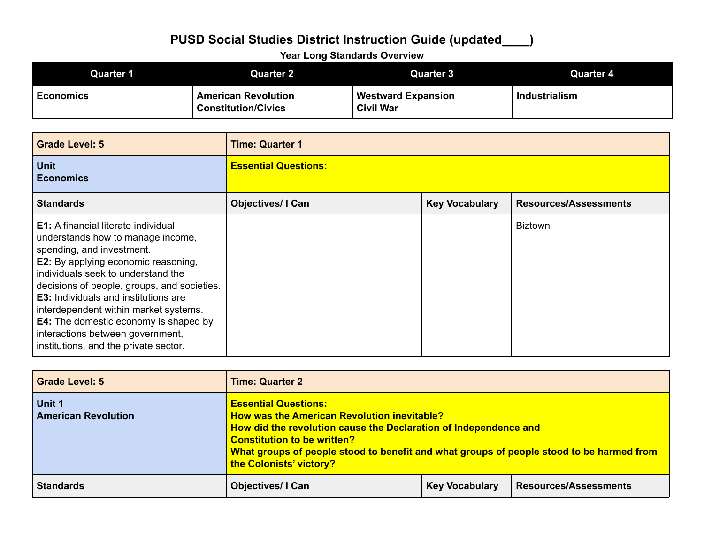#### **Year Long Standards Overview**

| Quarter 1        | Quarter 2                                                | <b>Quarter 3</b>                              | Quarter 4            |
|------------------|----------------------------------------------------------|-----------------------------------------------|----------------------|
| <b>Economics</b> | <b>American Revolution</b><br><b>Constitution/Civics</b> | <b>Westward Expansion</b><br><b>Civil War</b> | <b>Industrialism</b> |

| <b>Grade Level: 5</b>                                                                                                                                                                                                                                                                                                                                                                                                                                                | <b>Time: Quarter 1</b>      |                       |                              |
|----------------------------------------------------------------------------------------------------------------------------------------------------------------------------------------------------------------------------------------------------------------------------------------------------------------------------------------------------------------------------------------------------------------------------------------------------------------------|-----------------------------|-----------------------|------------------------------|
| <b>Unit</b><br><b>Economics</b>                                                                                                                                                                                                                                                                                                                                                                                                                                      | <b>Essential Questions:</b> |                       |                              |
| <b>Standards</b>                                                                                                                                                                                                                                                                                                                                                                                                                                                     | <b>Objectives/ I Can</b>    | <b>Key Vocabulary</b> | <b>Resources/Assessments</b> |
| <b>E1:</b> A financial literate individual<br>understands how to manage income,<br>spending, and investment.<br><b>E2:</b> By applying economic reasoning,<br>individuals seek to understand the<br>decisions of people, groups, and societies.<br><b>E3:</b> Individuals and institutions are<br>interdependent within market systems.<br><b>E4:</b> The domestic economy is shaped by<br>interactions between government,<br>institutions, and the private sector. |                             |                       | <b>Biztown</b>               |

| <b>Grade Level: 5</b>                | <b>Time: Quarter 2</b>                                                                                                                                                                                                                                                                                      |                       |                              |  |
|--------------------------------------|-------------------------------------------------------------------------------------------------------------------------------------------------------------------------------------------------------------------------------------------------------------------------------------------------------------|-----------------------|------------------------------|--|
| Unit 1<br><b>American Revolution</b> | <b>Essential Questions:</b><br>How was the American Revolution inevitable?<br>How did the revolution cause the Declaration of Independence and<br><b>Constitution to be written?</b><br>What groups of people stood to benefit and what groups of people stood to be harmed from<br>the Colonists' victory? |                       |                              |  |
| <b>Standards</b>                     | <b>Objectives/I Can</b>                                                                                                                                                                                                                                                                                     | <b>Key Vocabulary</b> | <b>Resources/Assessments</b> |  |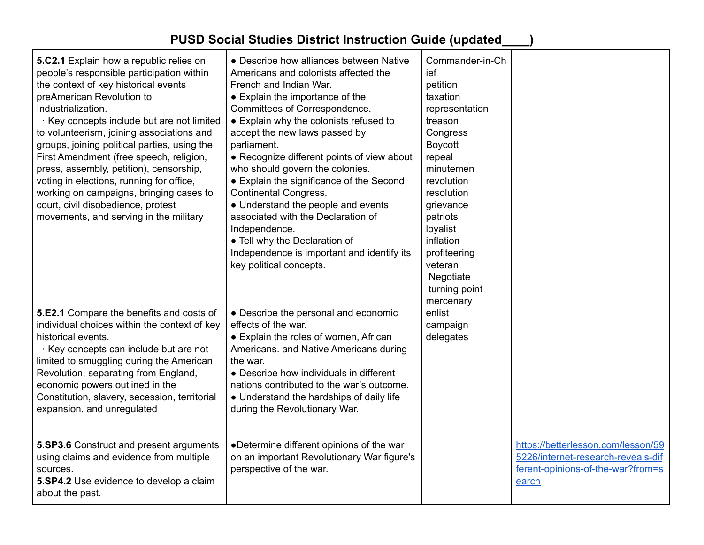| 5.C2.1 Explain how a republic relies on<br>people's responsible participation within<br>the context of key historical events<br>preAmerican Revolution to<br>Industrialization.<br>Key concepts include but are not limited<br>to volunteerism, joining associations and<br>groups, joining political parties, using the<br>First Amendment (free speech, religion,<br>press, assembly, petition), censorship,<br>voting in elections, running for office,<br>working on campaigns, bringing cases to<br>court, civil disobedience, protest<br>movements, and serving in the military | • Describe how alliances between Native<br>Americans and colonists affected the<br>French and Indian War.<br>• Explain the importance of the<br>Committees of Correspondence.<br>• Explain why the colonists refused to<br>accept the new laws passed by<br>parliament.<br>• Recognize different points of view about<br>who should govern the colonies.<br>• Explain the significance of the Second<br><b>Continental Congress.</b><br>• Understand the people and events<br>associated with the Declaration of<br>Independence.<br>• Tell why the Declaration of<br>Independence is important and identify its<br>key political concepts. | Commander-in-Ch<br>ief<br>petition<br>taxation<br>representation<br>treason<br>Congress<br><b>Boycott</b><br>repeal<br>minutemen<br>revolution<br>resolution<br>grievance<br>patriots<br>loyalist<br>inflation<br>profiteering<br>veteran<br>Negotiate<br>turning point<br>mercenary |                                                                                                                        |
|---------------------------------------------------------------------------------------------------------------------------------------------------------------------------------------------------------------------------------------------------------------------------------------------------------------------------------------------------------------------------------------------------------------------------------------------------------------------------------------------------------------------------------------------------------------------------------------|---------------------------------------------------------------------------------------------------------------------------------------------------------------------------------------------------------------------------------------------------------------------------------------------------------------------------------------------------------------------------------------------------------------------------------------------------------------------------------------------------------------------------------------------------------------------------------------------------------------------------------------------|--------------------------------------------------------------------------------------------------------------------------------------------------------------------------------------------------------------------------------------------------------------------------------------|------------------------------------------------------------------------------------------------------------------------|
| 5.E2.1 Compare the benefits and costs of<br>individual choices within the context of key<br>historical events.<br>Key concepts can include but are not<br>limited to smuggling during the American<br>Revolution, separating from England,<br>economic powers outlined in the<br>Constitution, slavery, secession, territorial<br>expansion, and unregulated                                                                                                                                                                                                                          | • Describe the personal and economic<br>effects of the war.<br>• Explain the roles of women, African<br>Americans. and Native Americans during<br>the war.<br>• Describe how individuals in different<br>nations contributed to the war's outcome.<br>• Understand the hardships of daily life<br>during the Revolutionary War.                                                                                                                                                                                                                                                                                                             | enlist<br>campaign<br>delegates                                                                                                                                                                                                                                                      |                                                                                                                        |
| 5.SP3.6 Construct and present arguments<br>using claims and evidence from multiple<br>sources.<br>5.SP4.2 Use evidence to develop a claim<br>about the past.                                                                                                                                                                                                                                                                                                                                                                                                                          | •Determine different opinions of the war<br>on an important Revolutionary War figure's<br>perspective of the war.                                                                                                                                                                                                                                                                                                                                                                                                                                                                                                                           |                                                                                                                                                                                                                                                                                      | https://betterlesson.com/lesson/59<br>5226/internet-research-reveals-dif<br>ferent-opinions-of-the-war?from=s<br>earch |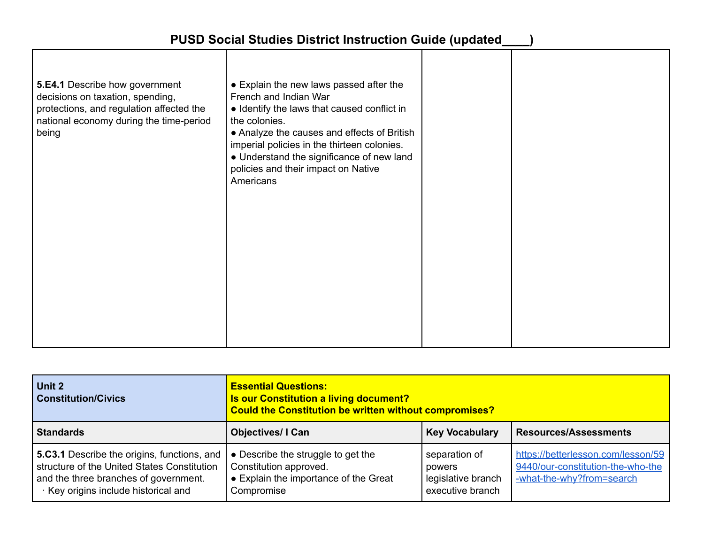| 5.E4.1 Describe how government<br>decisions on taxation, spending,<br>protections, and regulation affected the<br>national economy during the time-period<br>being | • Explain the new laws passed after the<br>French and Indian War<br>• Identify the laws that caused conflict in<br>the colonies.<br>• Analyze the causes and effects of British<br>imperial policies in the thirteen colonies.<br>• Understand the significance of new land<br>policies and their impact on Native<br>Americans |  |  |  |
|--------------------------------------------------------------------------------------------------------------------------------------------------------------------|---------------------------------------------------------------------------------------------------------------------------------------------------------------------------------------------------------------------------------------------------------------------------------------------------------------------------------|--|--|--|
|--------------------------------------------------------------------------------------------------------------------------------------------------------------------|---------------------------------------------------------------------------------------------------------------------------------------------------------------------------------------------------------------------------------------------------------------------------------------------------------------------------------|--|--|--|

| Unit 2<br><b>Constitution/Civics</b>                                                                                                                                      | <b>Essential Questions:</b><br>Is our Constitution a living document?<br>Could the Constitution be written without compromises? |                                                                   |                                                                                                      |
|---------------------------------------------------------------------------------------------------------------------------------------------------------------------------|---------------------------------------------------------------------------------------------------------------------------------|-------------------------------------------------------------------|------------------------------------------------------------------------------------------------------|
| <b>Standards</b>                                                                                                                                                          | <b>Objectives/I Can</b>                                                                                                         | <b>Key Vocabulary</b>                                             | <b>Resources/Assessments</b>                                                                         |
| 5.C3.1 Describe the origins, functions, and<br>structure of the United States Constitution<br>and the three branches of government.<br>Key origins include historical and | • Describe the struggle to get the<br>Constitution approved.<br>• Explain the importance of the Great<br>Compromise             | separation of<br>powers<br>legislative branch<br>executive branch | https://betterlesson.com/lesson/59<br>9440/our-constitution-the-who-the<br>-what-the-why?from=search |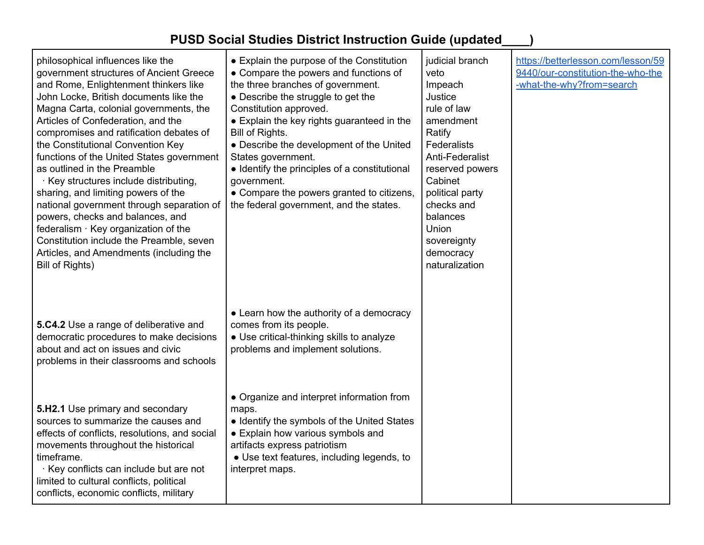| philosophical influences like the<br>government structures of Ancient Greece<br>and Rome, Enlightenment thinkers like<br>John Locke, British documents like the<br>Magna Carta, colonial governments, the<br>Articles of Confederation, and the<br>compromises and ratification debates of<br>the Constitutional Convention Key<br>functions of the United States government<br>as outlined in the Preamble<br>· Key structures include distributing,<br>sharing, and limiting powers of the<br>national government through separation of<br>powers, checks and balances, and<br>federalism · Key organization of the<br>Constitution include the Preamble, seven<br>Articles, and Amendments (including the<br>Bill of Rights) | • Explain the purpose of the Constitution<br>• Compare the powers and functions of<br>the three branches of government.<br>• Describe the struggle to get the<br>Constitution approved.<br>• Explain the key rights guaranteed in the<br>Bill of Rights.<br>• Describe the development of the United<br>States government.<br>• Identify the principles of a constitutional<br>government.<br>• Compare the powers granted to citizens,<br>the federal government, and the states. | judicial branch<br>veto<br>Impeach<br>Justice<br>rule of law<br>amendment<br>Ratify<br>Federalists<br>Anti-Federalist<br>reserved powers<br>Cabinet<br>political party<br>checks and<br>balances<br>Union<br>sovereignty<br>democracy<br>naturalization | https://betterlesson.com/lesson/59<br>9440/our-constitution-the-who-the<br>-what-the-why?from=search |
|---------------------------------------------------------------------------------------------------------------------------------------------------------------------------------------------------------------------------------------------------------------------------------------------------------------------------------------------------------------------------------------------------------------------------------------------------------------------------------------------------------------------------------------------------------------------------------------------------------------------------------------------------------------------------------------------------------------------------------|------------------------------------------------------------------------------------------------------------------------------------------------------------------------------------------------------------------------------------------------------------------------------------------------------------------------------------------------------------------------------------------------------------------------------------------------------------------------------------|---------------------------------------------------------------------------------------------------------------------------------------------------------------------------------------------------------------------------------------------------------|------------------------------------------------------------------------------------------------------|
| 5.C4.2 Use a range of deliberative and<br>democratic procedures to make decisions<br>about and act on issues and civic<br>problems in their classrooms and schools                                                                                                                                                                                                                                                                                                                                                                                                                                                                                                                                                              | • Learn how the authority of a democracy<br>comes from its people.<br>• Use critical-thinking skills to analyze<br>problems and implement solutions.                                                                                                                                                                                                                                                                                                                               |                                                                                                                                                                                                                                                         |                                                                                                      |
| 5.H2.1 Use primary and secondary<br>sources to summarize the causes and<br>effects of conflicts, resolutions, and social<br>movements throughout the historical<br>timeframe.<br>Key conflicts can include but are not<br>limited to cultural conflicts, political<br>conflicts, economic conflicts, military                                                                                                                                                                                                                                                                                                                                                                                                                   | • Organize and interpret information from<br>maps.<br>• Identify the symbols of the United States<br>• Explain how various symbols and<br>artifacts express patriotism<br>• Use text features, including legends, to<br>interpret maps.                                                                                                                                                                                                                                            |                                                                                                                                                                                                                                                         |                                                                                                      |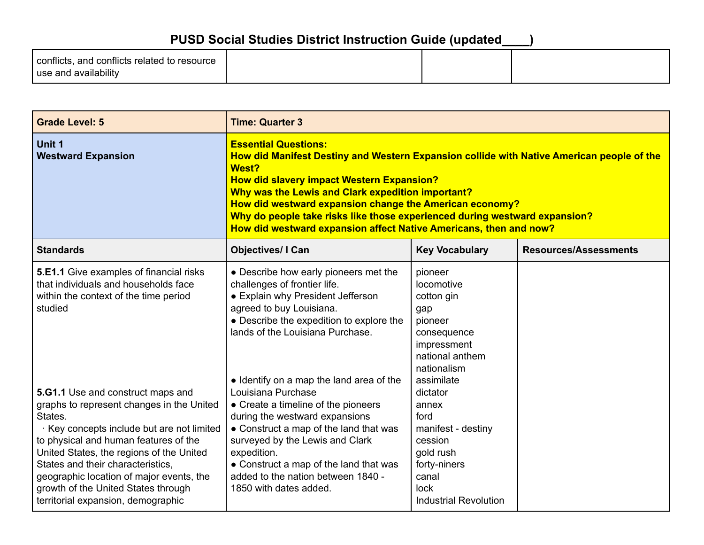| conflicts, and conflicts related to resource |  |  |
|----------------------------------------------|--|--|
| use and availability                         |  |  |

| <b>Grade Level: 5</b>                                                                                                                                                                                                                                                                                                                                                                    | <b>Time: Quarter 3</b>                                                                                                                                                                                                                                                                                                                                                                                                                                   |                                                                                                                                          |                              |
|------------------------------------------------------------------------------------------------------------------------------------------------------------------------------------------------------------------------------------------------------------------------------------------------------------------------------------------------------------------------------------------|----------------------------------------------------------------------------------------------------------------------------------------------------------------------------------------------------------------------------------------------------------------------------------------------------------------------------------------------------------------------------------------------------------------------------------------------------------|------------------------------------------------------------------------------------------------------------------------------------------|------------------------------|
| Unit 1<br><b>Westward Expansion</b>                                                                                                                                                                                                                                                                                                                                                      | <b>Essential Questions:</b><br>How did Manifest Destiny and Western Expansion collide with Native American people of the<br>West?<br><b>How did slavery impact Western Expansion?</b><br>Why was the Lewis and Clark expedition important?<br>How did westward expansion change the American economy?<br>Why do people take risks like those experienced during westward expansion?<br>How did westward expansion affect Native Americans, then and now? |                                                                                                                                          |                              |
| <b>Standards</b>                                                                                                                                                                                                                                                                                                                                                                         | <b>Objectives/ I Can</b>                                                                                                                                                                                                                                                                                                                                                                                                                                 | <b>Key Vocabulary</b>                                                                                                                    | <b>Resources/Assessments</b> |
| <b>5.E1.1</b> Give examples of financial risks<br>that individuals and households face<br>within the context of the time period<br>studied                                                                                                                                                                                                                                               | • Describe how early pioneers met the<br>challenges of frontier life.<br>• Explain why President Jefferson<br>agreed to buy Louisiana.<br>• Describe the expedition to explore the<br>lands of the Louisiana Purchase.                                                                                                                                                                                                                                   | pioneer<br>locomotive<br>cotton gin<br>gap<br>pioneer<br>consequence<br>impressment<br>national anthem<br>nationalism<br>assimilate      |                              |
| 5.G1.1 Use and construct maps and<br>graphs to represent changes in the United<br>States.<br>Key concepts include but are not limited<br>to physical and human features of the<br>United States, the regions of the United<br>States and their characteristics,<br>geographic location of major events, the<br>growth of the United States through<br>territorial expansion, demographic | • Identify on a map the land area of the<br>Louisiana Purchase<br>• Create a timeline of the pioneers<br>during the westward expansions<br>• Construct a map of the land that was<br>surveyed by the Lewis and Clark<br>expedition.<br>• Construct a map of the land that was<br>added to the nation between 1840 -<br>1850 with dates added.                                                                                                            | dictator<br>annex<br>ford<br>manifest - destiny<br>cession<br>gold rush<br>forty-niners<br>canal<br>lock<br><b>Industrial Revolution</b> |                              |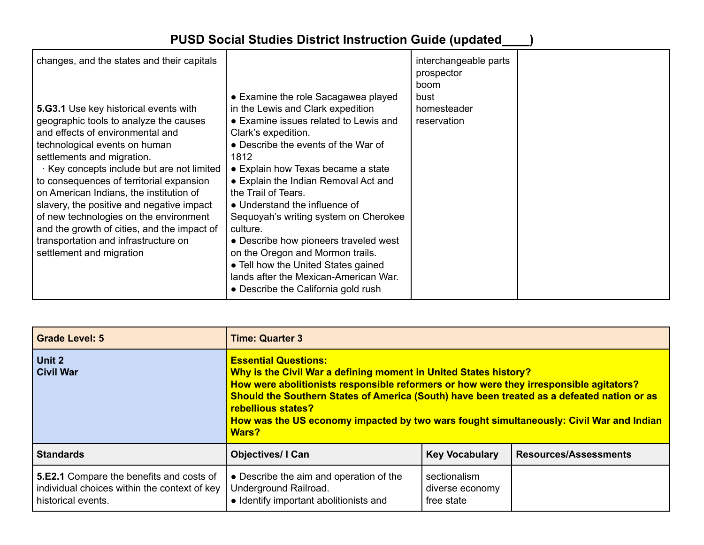| changes, and the states and their capitals<br>5.G3.1 Use key historical events with                                                                                                                                                                                                                                                                                                                                                                                                    | • Examine the role Sacagawea played<br>in the Lewis and Clark expedition                                                                                                                                                                                                                                                                                                                                                                                                                                   | interchangeable parts<br>prospector<br>boom<br>bust<br>homesteader |  |
|----------------------------------------------------------------------------------------------------------------------------------------------------------------------------------------------------------------------------------------------------------------------------------------------------------------------------------------------------------------------------------------------------------------------------------------------------------------------------------------|------------------------------------------------------------------------------------------------------------------------------------------------------------------------------------------------------------------------------------------------------------------------------------------------------------------------------------------------------------------------------------------------------------------------------------------------------------------------------------------------------------|--------------------------------------------------------------------|--|
| geographic tools to analyze the causes<br>and effects of environmental and<br>technological events on human<br>settlements and migration.<br>Key concepts include but are not limited<br>to consequences of territorial expansion<br>on American Indians, the institution of<br>slavery, the positive and negative impact<br>of new technologies on the environment<br>and the growth of cities, and the impact of<br>transportation and infrastructure on<br>settlement and migration | • Examine issues related to Lewis and<br>Clark's expedition.<br>• Describe the events of the War of<br>1812<br>• Explain how Texas became a state<br>• Explain the Indian Removal Act and<br>the Trail of Tears.<br>• Understand the influence of<br>Sequoyah's writing system on Cherokee<br>culture.<br>• Describe how pioneers traveled west<br>on the Oregon and Mormon trails.<br>• Tell how the United States gained<br>lands after the Mexican-American War.<br>• Describe the California gold rush | reservation                                                        |  |

| <b>Grade Level: 5</b>                                                                                                 | <b>Time: Quarter 3</b>                                                                                                                                                                                                                                                                                                                                                                                                   |                                               |                              |
|-----------------------------------------------------------------------------------------------------------------------|--------------------------------------------------------------------------------------------------------------------------------------------------------------------------------------------------------------------------------------------------------------------------------------------------------------------------------------------------------------------------------------------------------------------------|-----------------------------------------------|------------------------------|
| Unit 2<br><b>Civil War</b>                                                                                            | <b>Essential Questions:</b><br>Why is the Civil War a defining moment in United States history?<br>How were abolitionists responsible reformers or how were they irresponsible agitators?<br>Should the Southern States of America (South) have been treated as a defeated nation or as<br>rebellious states?<br>How was the US economy impacted by two wars fought simultaneously: Civil War and Indian<br><b>Wars?</b> |                                               |                              |
| <b>Standards</b>                                                                                                      | <b>Objectives/I Can</b>                                                                                                                                                                                                                                                                                                                                                                                                  | <b>Key Vocabulary</b>                         | <b>Resources/Assessments</b> |
| <b>5.E2.1</b> Compare the benefits and costs of<br>individual choices within the context of key<br>historical events. | • Describe the aim and operation of the<br>Underground Railroad.<br>• Identify important abolitionists and                                                                                                                                                                                                                                                                                                               | sectionalism<br>diverse economy<br>free state |                              |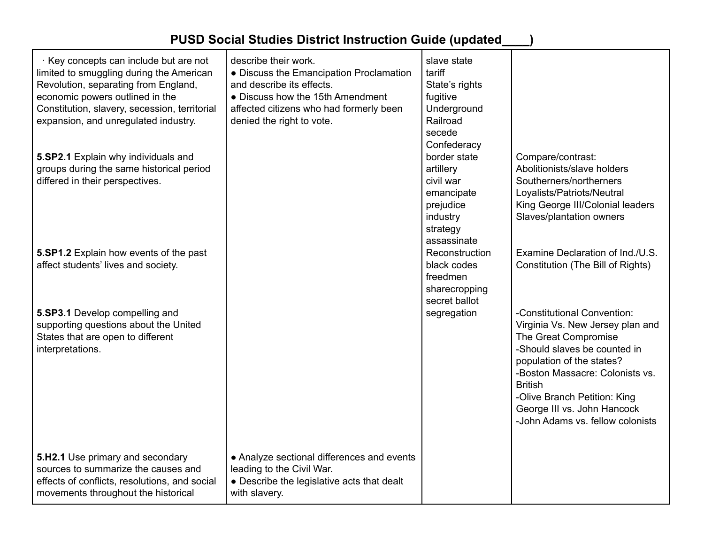| $\cdot$ Key concepts can include but are not<br>limited to smuggling during the American<br>Revolution, separating from England,<br>economic powers outlined in the<br>Constitution, slavery, secession, territorial<br>expansion, and unregulated industry.<br>5.SP2.1 Explain why individuals and<br>groups during the same historical period<br>differed in their perspectives.<br>5.SP1.2 Explain how events of the past<br>affect students' lives and society.<br>5.SP3.1 Develop compelling and<br>supporting questions about the United<br>States that are open to different<br>interpretations. | describe their work.<br>• Discuss the Emancipation Proclamation<br>and describe its effects.<br>• Discuss how the 15th Amendment<br>affected citizens who had formerly been<br>denied the right to vote. | slave state<br>tariff<br>State's rights<br>fugitive<br>Underground<br>Railroad<br>secede<br>Confederacy<br>border state<br>artillery<br>civil war<br>emancipate<br>prejudice<br>industry<br>strategy<br>assassinate<br>Reconstruction<br>black codes<br>freedmen<br>sharecropping<br>secret ballot<br>segregation | Compare/contrast:<br>Abolitionists/slave holders<br>Southerners/northerners<br>Loyalists/Patriots/Neutral<br>King George III/Colonial leaders<br>Slaves/plantation owners<br>Examine Declaration of Ind./U.S.<br>Constitution (The Bill of Rights)<br>-Constitutional Convention:<br>Virginia Vs. New Jersey plan and<br>The Great Compromise<br>-Should slaves be counted in<br>population of the states?<br>-Boston Massacre: Colonists vs.<br><b>British</b><br>-Olive Branch Petition: King<br>George III vs. John Hancock<br>-John Adams vs. fellow colonists |
|---------------------------------------------------------------------------------------------------------------------------------------------------------------------------------------------------------------------------------------------------------------------------------------------------------------------------------------------------------------------------------------------------------------------------------------------------------------------------------------------------------------------------------------------------------------------------------------------------------|----------------------------------------------------------------------------------------------------------------------------------------------------------------------------------------------------------|-------------------------------------------------------------------------------------------------------------------------------------------------------------------------------------------------------------------------------------------------------------------------------------------------------------------|--------------------------------------------------------------------------------------------------------------------------------------------------------------------------------------------------------------------------------------------------------------------------------------------------------------------------------------------------------------------------------------------------------------------------------------------------------------------------------------------------------------------------------------------------------------------|
| 5.H2.1 Use primary and secondary<br>sources to summarize the causes and<br>effects of conflicts, resolutions, and social<br>movements throughout the historical                                                                                                                                                                                                                                                                                                                                                                                                                                         | • Analyze sectional differences and events<br>leading to the Civil War.<br>• Describe the legislative acts that dealt<br>with slavery.                                                                   |                                                                                                                                                                                                                                                                                                                   |                                                                                                                                                                                                                                                                                                                                                                                                                                                                                                                                                                    |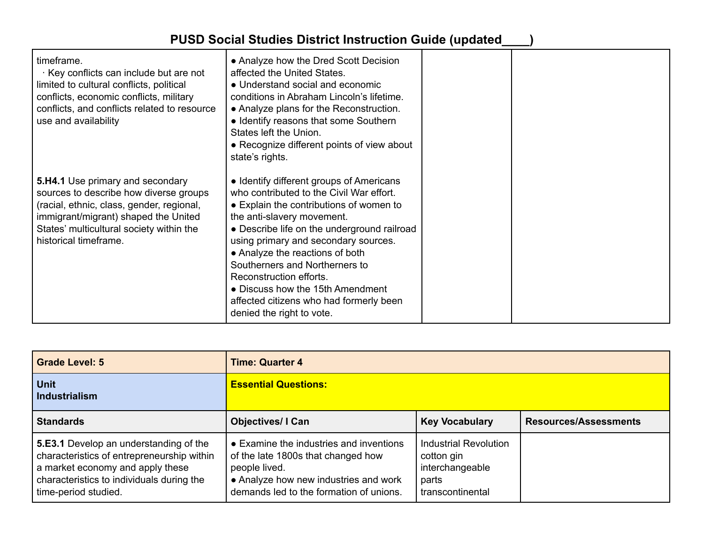| timeframe.<br>Key conflicts can include but are not<br>limited to cultural conflicts, political<br>conflicts, economic conflicts, military<br>conflicts, and conflicts related to resource<br>use and availability                          | • Analyze how the Dred Scott Decision<br>affected the United States.<br>• Understand social and economic<br>conditions in Abraham Lincoln's lifetime.<br>• Analyze plans for the Reconstruction.<br>• Identify reasons that some Southern<br>States left the Union.<br>• Recognize different points of view about<br>state's rights.                                                                                                                             |  |
|---------------------------------------------------------------------------------------------------------------------------------------------------------------------------------------------------------------------------------------------|------------------------------------------------------------------------------------------------------------------------------------------------------------------------------------------------------------------------------------------------------------------------------------------------------------------------------------------------------------------------------------------------------------------------------------------------------------------|--|
| <b>5.H4.1</b> Use primary and secondary<br>sources to describe how diverse groups<br>(racial, ethnic, class, gender, regional,<br>immigrant/migrant) shaped the United<br>States' multicultural society within the<br>historical timeframe. | • Identify different groups of Americans<br>who contributed to the Civil War effort.<br>• Explain the contributions of women to<br>the anti-slavery movement.<br>• Describe life on the underground railroad<br>using primary and secondary sources.<br>• Analyze the reactions of both<br>Southerners and Northerners to<br>Reconstruction efforts.<br>• Discuss how the 15th Amendment<br>affected citizens who had formerly been<br>denied the right to vote. |  |

| <b>Grade Level: 5</b>                                                                                                                                                                         | <b>Time: Quarter 4</b>                                                                                                                                                             |                                                                                     |                              |  |
|-----------------------------------------------------------------------------------------------------------------------------------------------------------------------------------------------|------------------------------------------------------------------------------------------------------------------------------------------------------------------------------------|-------------------------------------------------------------------------------------|------------------------------|--|
| <b>Unit</b><br><b>Industrialism</b>                                                                                                                                                           | <b>Essential Questions:</b>                                                                                                                                                        |                                                                                     |                              |  |
| <b>Standards</b>                                                                                                                                                                              | <b>Objectives/I Can</b>                                                                                                                                                            | <b>Key Vocabulary</b>                                                               | <b>Resources/Assessments</b> |  |
| 5.E3.1 Develop an understanding of the<br>characteristics of entrepreneurship within<br>a market economy and apply these<br>characteristics to individuals during the<br>time-period studied. | • Examine the industries and inventions<br>of the late 1800s that changed how<br>people lived.<br>• Analyze how new industries and work<br>demands led to the formation of unions. | Industrial Revolution<br>cotton gin<br>interchangeable<br>parts<br>transcontinental |                              |  |